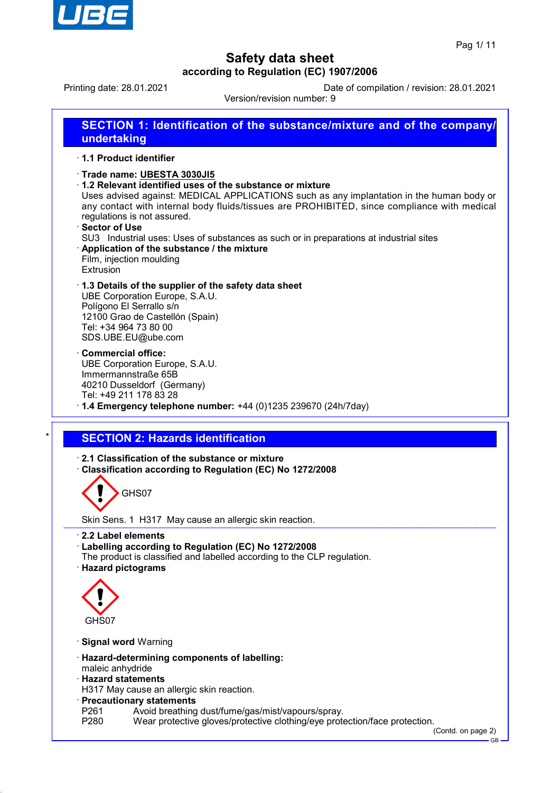

Version/revision number: 9

Printing date: 28.01.2021 Date of compilation / revision: 28.01.2021

**SECTION 1: Identification of the substance/mixture and of the company/ undertaking**

### · **1.1 Product identifier**

- · **Trade name: UBESTA 3030JI5**
- · **1.2 Relevant identified uses of the substance or mixture**

Uses advised against: MEDICAL APPLICATIONS such as any implantation in the human body or any contact with internal body fluids/tissues are PROHIBITED, since compliance with medical regulations is not assured.

- · **Sector of Use**
- SU3 Industrial uses: Uses of substances as such or in preparations at industrial sites
- · **Application of the substance / the mixture** Film, injection moulding Extrusion
- · **1.3 Details of the supplier of the safety data sheet** UBE Corporation Europe, S.A.U.

Polígono El Serrallo s/n 12100 Grao de Castellón (Spain) Tel: +34 964 73 80 00 SDS.UBE.EU@ube.com

- · **Commercial office:** UBE Corporation Europe, S.A.U. Immermannstraße 65B 40210 Dusseldorf (Germany) Tel: +49 211 178 83 28
- · **1.4 Emergency telephone number:** +44 (0)1235 239670 (24h/7day)

## **SECTION 2: Hazards identification**

- · **2.1 Classification of the substance or mixture**
- · **Classification according to Regulation (EC) No 1272/2008**

GHS07

Skin Sens. 1 H317 May cause an allergic skin reaction.

- · **2.2 Label elements**
- · **Labelling according to Regulation (EC) No 1272/2008**
- The product is classified and labelled according to the CLP regulation.
- · **Hazard pictograms**



- · **Signal word** Warning
- · **Hazard-determining components of labelling:**
- maleic anhydride
- · **Hazard statements**
- H317 May cause an allergic skin reaction.
- · **Precautionary statements**
- P261 Avoid breathing dust/fume/gas/mist/vapours/spray.<br>P280 Wear protective gloves/protective clothing/eve prote
- Wear protective gloves/protective clothing/eye protection/face protection.

(Contd. on page 2) GB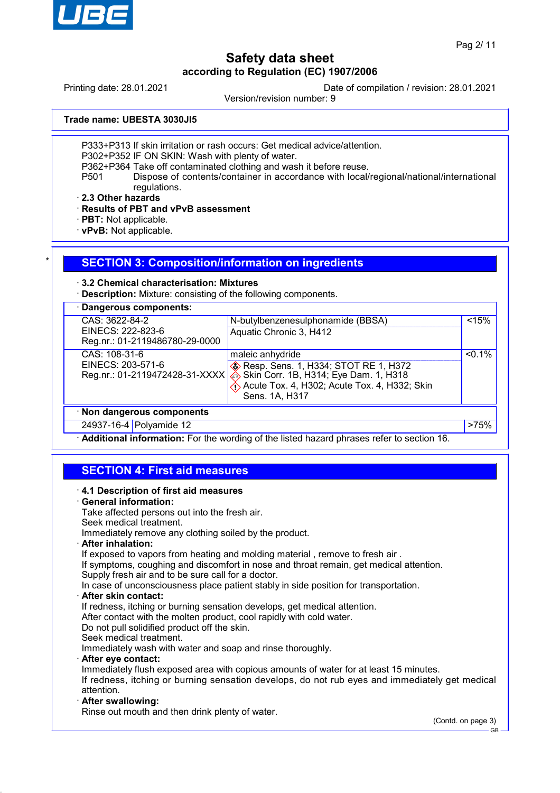

Printing date: 28.01.2021 Date of compilation / revision: 28.01.2021

Version/revision number: 9

**Trade name: UBESTA 3030JI5**

P333+P313 If skin irritation or rash occurs: Get medical advice/attention.

P302+P352 IF ON SKIN: Wash with plenty of water.

P362+P364 Take off contaminated clothing and wash it before reuse.<br>P501 Dispose of contents/container in accordance with local/

Dispose of contents/container in accordance with local/regional/national/international regulations.

· **2.3 Other hazards**

· **Results of PBT and vPvB assessment**

· **PBT:** Not applicable.

· **vPvB:** Not applicable.

## **SECTION 3: Composition/information on ingredients**

### · **3.2 Chemical characterisation: Mixtures**

· **Description:** Mixture: consisting of the following components.

| Dangerous components:          |                                                   |           |
|--------------------------------|---------------------------------------------------|-----------|
| CAS: 3622-84-2                 | N-butylbenzenesulphonamide (BBSA)                 | < 15%     |
| EINECS: 222-823-6              | Aquatic Chronic 3, H412                           |           |
| Reg.nr.: 01-2119486780-29-0000 |                                                   |           |
| CAS: 108-31-6                  | maleic anhydride                                  | $< 0.1\%$ |
| EINECS: 203-571-6              | <b>&amp; Resp. Sens. 1, H334; STOT RE 1, H372</b> |           |
| Reg.nr.: 01-2119472428-31-XXXX | Skin Corr. 1B, H314; Eye Dam. 1, H318             |           |
|                                | Acute Tox. 4, H302; Acute Tox. 4, H332; Skin      |           |
|                                | Sens. 1A, H317                                    |           |
| · Non dangerous components     |                                                   |           |
| 24937-16-4 Polyamide 12        |                                                   | $>75\%$   |

· **Additional information:** For the wording of the listed hazard phrases refer to section 16.

## **SECTION 4: First aid measures**

| 4.1 Description of first aid measures                                                                        |
|--------------------------------------------------------------------------------------------------------------|
| · General information:                                                                                       |
| Take affected persons out into the fresh air.                                                                |
| Seek medical treatment.                                                                                      |
| Immediately remove any clothing soiled by the product.                                                       |
| · After inhalation:                                                                                          |
| If exposed to vapors from heating and molding material, remove to fresh air.                                 |
| If symptoms, coughing and discomfort in nose and throat remain, get medical attention.                       |
| Supply fresh air and to be sure call for a doctor.                                                           |
| In case of unconsciousness place patient stably in side position for transportation.                         |
| · After skin contact:                                                                                        |
| If redness, itching or burning sensation develops, get medical attention.                                    |
| After contact with the molten product, cool rapidly with cold water.                                         |
| Do not pull solidified product off the skin.                                                                 |
| Seek medical treatment.                                                                                      |
| Immediately wash with water and soap and rinse thoroughly.                                                   |
| · After eye contact:                                                                                         |
| Immediately flush exposed area with copious amounts of water for at least 15 minutes.                        |
| If redness, itching or burning sensation develops, do not rub eyes and immediately get medical<br>attention. |
| · After swallowing:                                                                                          |
| Rinse out mouth and then drink plenty of water.                                                              |
|                                                                                                              |

(Contd. on page 3)

GB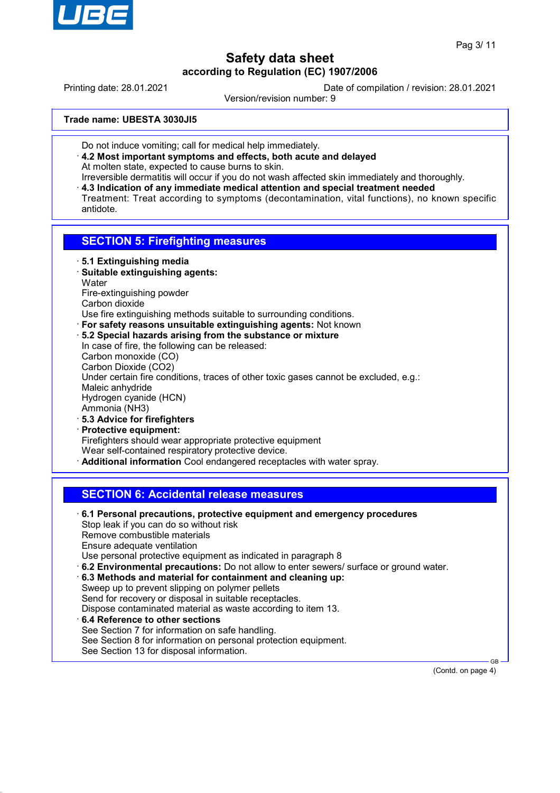

Printing date: 28.01.2021 Date of compilation / revision: 28.01.2021

Version/revision number: 9

**Trade name: UBESTA 3030JI5**

- Do not induce vomiting; call for medical help immediately.
- · **4.2 Most important symptoms and effects, both acute and delayed** At molten state, expected to cause burns to skin.
- Irreversible dermatitis will occur if you do not wash affected skin immediately and thoroughly.
- · **4.3 Indication of any immediate medical attention and special treatment needed** Treatment: Treat according to symptoms (decontamination, vital functions), no known specific antidote.

## **SECTION 5: Firefighting measures**

- · **5.1 Extinguishing media**
- · **Suitable extinguishing agents: Water** Fire-extinguishing powder Carbon dioxide
- Use fire extinguishing methods suitable to surrounding conditions.
- · **For safety reasons unsuitable extinguishing agents:** Not known
- · **5.2 Special hazards arising from the substance or mixture** In case of fire, the following can be released: Carbon monoxide (CO) Carbon Dioxide (CO2) Under certain fire conditions, traces of other toxic gases cannot be excluded, e.g.: Maleic anhydride Hydrogen cyanide (HCN) Ammonia (NH3) · **5.3 Advice for firefighters**
- · **Protective equipment:** Firefighters should wear appropriate protective equipment Wear self-contained respiratory protective device. · **Additional information** Cool endangered receptacles with water spray.

## **SECTION 6: Accidental release measures**

· **6.1 Personal precautions, protective equipment and emergency procedures** Stop leak if you can do so without risk Remove combustible materials Ensure adequate ventilation Use personal protective equipment as indicated in paragraph 8 · **6.2 Environmental precautions:** Do not allow to enter sewers/ surface or ground water. · **6.3 Methods and material for containment and cleaning up:** Sweep up to prevent slipping on polymer pellets Send for recovery or disposal in suitable receptacles. Dispose contaminated material as waste according to item 13. · **6.4 Reference to other sections** See Section 7 for information on safe handling. See Section 8 for information on personal protection equipment. See Section 13 for disposal information.

(Contd. on page 4)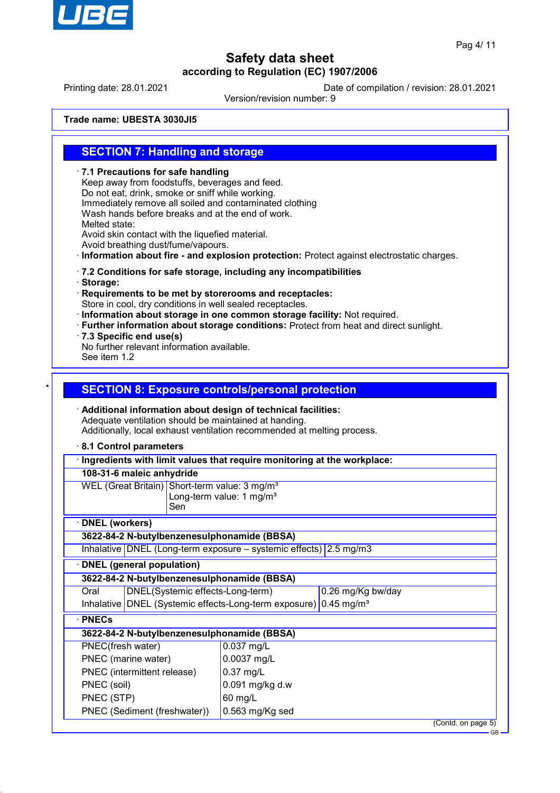

Printing date: 28.01.2021 Date of compilation / revision: 28.01.2021

Version/revision number: 9

**Trade name: UBESTA 3030JI5**

## **SECTION 7: Handling and storage**

· **7.1 Precautions for safe handling** Keep away from foodstuffs, beverages and feed. Do not eat, drink, smoke or sniff while working. Immediately remove all soiled and contaminated clothing Wash hands before breaks and at the end of work. Melted state: Avoid skin contact with the liquefied material. Avoid breathing dust/fume/vapours. · **Information about fire - and explosion protection:** Protect against electrostatic charges. · **7.2 Conditions for safe storage, including any incompatibilities** · **Storage:** · **Requirements to be met by storerooms and receptacles:** Store in cool, dry conditions in well sealed receptacles. · **Information about storage in one common storage facility:** Not required. · **Further information about storage conditions:** Protect from heat and direct sunlight. · **7.3 Specific end use(s)** No further relevant information available. See item 1.2 **SECTION 8: Exposure controls/personal protection** · **Additional information about design of technical facilities:** Adequate ventilation should be maintained at handing. Additionally, local exhaust ventilation recommended at melting process. · **8.1 Control parameters** · **Ingredients with limit values that require monitoring at the workplace: 108-31-6 maleic anhydride** WEL (Great Britain) Short-term value: 3 mg/m<sup>3</sup> Long-term value: 1 mg/m $3$ Sen · **DNEL (workers) 3622-84-2 N-butylbenzenesulphonamide (BBSA)** Inhalative DNEL (Long-term exposure – systemic effects) 2.5 mg/m3 · **DNEL (general population) 3622-84-2 N-butylbenzenesulphonamide (BBSA)** Oral DNEL(Systemic effects-Long-term) 0.26 mg/Kg bw/day Inhalative DNEL (Systemic effects-Long-term exposure) 0.45 mg/m<sup>3</sup> · **PNECs 3622-84-2 N-butylbenzenesulphonamide (BBSA)** PNEC(fresh water) 0.037 mg/L PNEC (marine water) 0.0037 mg/L PNEC (intermittent release) | 0.37 mg/L PNEC (soil)  $\vert$  0.091 mg/kg d.w PNEC (STP) 60 mg/L PNEC (Sediment (freshwater)) 0.563 mg/Kg sed

(Contd. on page 5)

GB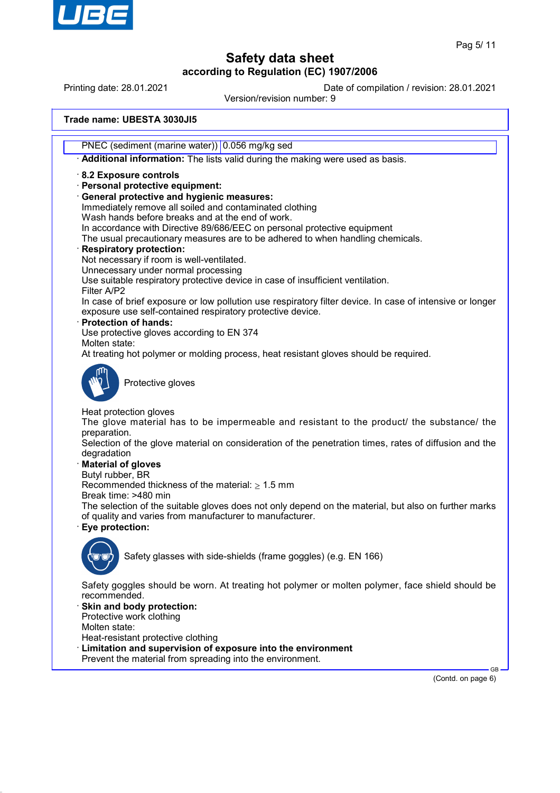

Printing date: 28.01.2021 Date of compilation / revision: 28.01.2021

Version/revision number: 9

**Trade name: UBESTA 3030JI5**

PNEC (sediment (marine water)) 0.056 mg/kg sed

· **Additional information:** The lists valid during the making were used as basis.

· **8.2 Exposure controls**

· **Personal protective equipment:**

· **General protective and hygienic measures:**

Immediately remove all soiled and contaminated clothing Wash hands before breaks and at the end of work.

In accordance with Directive 89/686/EEC on personal protective equipment

The usual precautionary measures are to be adhered to when handling chemicals.

### · **Respiratory protection:**

Not necessary if room is well-ventilated.

Unnecessary under normal processing

Use suitable respiratory protective device in case of insufficient ventilation.

Filter A/P2 In case of brief exposure or low pollution use respiratory filter device. In case of intensive or longer exposure use self-contained respiratory protective device.

· **Protection of hands:**

Use protective gloves according to EN 374

Molten state:

At treating hot polymer or molding process, heat resistant gloves should be required.



Protective gloves

Heat protection gloves

The glove material has to be impermeable and resistant to the product/ the substance/ the preparation.

Selection of the glove material on consideration of the penetration times, rates of diffusion and the degradation

### · **Material of gloves**

Butyl rubber, BR

Recommended thickness of the material:  $\geq 1.5$  mm

Break time: >480 min

The selection of the suitable gloves does not only depend on the material, but also on further marks of quality and varies from manufacturer to manufacturer.

· **Eye protection:**



Safety glasses with side-shields (frame goggles) (e.g. EN 166)

Safety goggles should be worn. At treating hot polymer or molten polymer, face shield should be recommended.

Skin and body protection: Protective work clothing

Molten state:

Heat-resistant protective clothing

- Limitation and supervision of exposure into the environment
- Prevent the material from spreading into the environment.

(Contd. on page 6)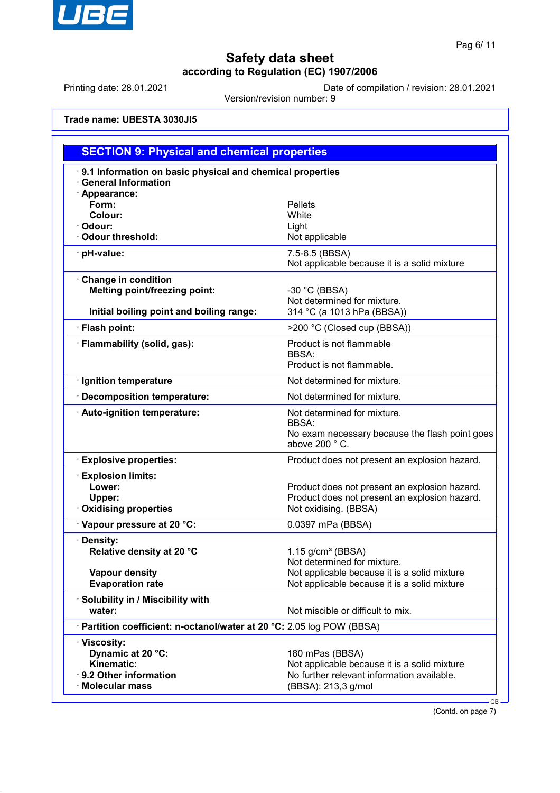

Printing date: 28.01.2021 Date of compilation / revision: 28.01.2021

Version/revision number: 9

**Trade name: UBESTA 3030JI5**

| <b>SECTION 9: Physical and chemical properties</b>                                                      |                                                                                                                                      |  |  |  |
|---------------------------------------------------------------------------------------------------------|--------------------------------------------------------------------------------------------------------------------------------------|--|--|--|
| 9.1 Information on basic physical and chemical properties<br><b>General Information</b>                 |                                                                                                                                      |  |  |  |
| · Appearance:<br>Form:<br>Colour:<br>· Odour:<br>· Odour threshold:                                     | <b>Pellets</b><br>White<br>Light<br>Not applicable                                                                                   |  |  |  |
| · pH-value:                                                                                             | 7.5-8.5 (BBSA)<br>Not applicable because it is a solid mixture                                                                       |  |  |  |
| Change in condition<br><b>Melting point/freezing point:</b><br>Initial boiling point and boiling range: | $-30$ °C (BBSA)<br>Not determined for mixture.<br>314 °C (a 1013 hPa (BBSA))                                                         |  |  |  |
| · Flash point:                                                                                          | >200 °C (Closed cup (BBSA))                                                                                                          |  |  |  |
| · Flammability (solid, gas):                                                                            | Product is not flammable<br><b>BBSA:</b><br>Product is not flammable.                                                                |  |  |  |
| · Ignition temperature                                                                                  | Not determined for mixture.                                                                                                          |  |  |  |
| · Decomposition temperature:                                                                            | Not determined for mixture.                                                                                                          |  |  |  |
| · Auto-ignition temperature:                                                                            | Not determined for mixture.<br>BBSA:<br>No exam necessary because the flash point goes<br>above 200 °C.                              |  |  |  |
| <b>Explosive properties:</b>                                                                            | Product does not present an explosion hazard.                                                                                        |  |  |  |
| <b>Explosion limits:</b><br>Lower:<br>Upper:<br><b>Oxidising properties</b>                             | Product does not present an explosion hazard.<br>Product does not present an explosion hazard.<br>Not oxidising. (BBSA)              |  |  |  |
| Vapour pressure at 20 °C:                                                                               | 0.0397 mPa (BBSA)                                                                                                                    |  |  |  |
| · Density:<br>Relative density at 20 °C                                                                 | $1.15$ g/cm <sup>3</sup> (BBSA)<br>Not determined for mixture.                                                                       |  |  |  |
| <b>Vapour density</b><br><b>Evaporation rate</b>                                                        | Not applicable because it is a solid mixture<br>Not applicable because it is a solid mixture                                         |  |  |  |
| · Solubility in / Miscibility with<br>water:                                                            | Not miscible or difficult to mix.                                                                                                    |  |  |  |
| · Partition coefficient: n-octanol/water at 20 °C: 2.05 log POW (BBSA)                                  |                                                                                                                                      |  |  |  |
| · Viscosity:<br>Dynamic at 20 °C:<br>Kinematic:<br>· 9.2 Other information<br>· Molecular mass          | 180 mPas (BBSA)<br>Not applicable because it is a solid mixture<br>No further relevant information available.<br>(BBSA): 213,3 g/mol |  |  |  |

(Contd. on page 7)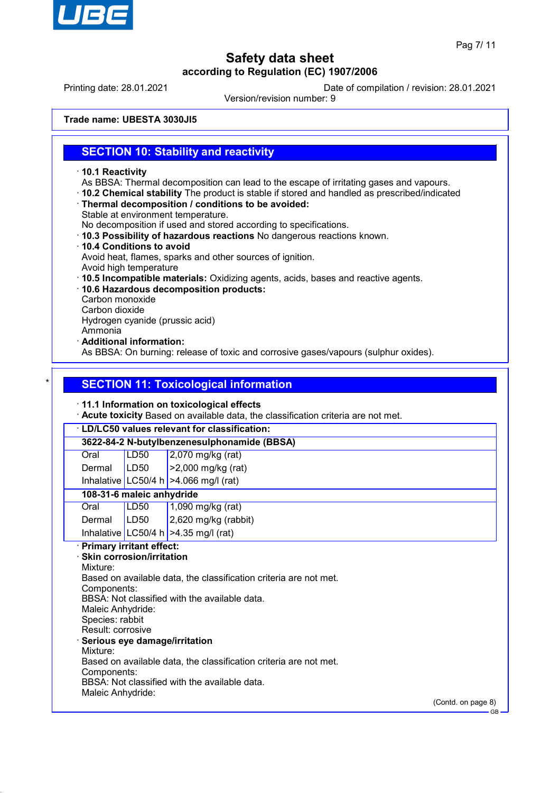

Printing date: 28.01.2021 Date of compilation / revision: 28.01.2021

Version/revision number: 9

**Trade name: UBESTA 3030JI5**

## **SECTION 10: Stability and reactivity**

- · **10.1 Reactivity**
- As BBSA: Thermal decomposition can lead to the escape of irritating gases and vapours.
- · **10.2 Chemical stability** The product is stable if stored and handled as prescribed/indicated
- · **Thermal decomposition / conditions to be avoided:**
- Stable at environment temperature.

No decomposition if used and stored according to specifications.

- · **10.3 Possibility of hazardous reactions** No dangerous reactions known.
- · **10.4 Conditions to avoid** Avoid heat, flames, sparks and other sources of ignition.
- Avoid high temperature
- · **10.5 Incompatible materials:** Oxidizing agents, acids, bases and reactive agents.
- · **10.6 Hazardous decomposition products:**
- Carbon monoxide
- Carbon dioxide

Hydrogen cyanide (prussic acid)

Ammonia

· **Additional information:**

As BBSA: On burning: release of toxic and corrosive gases/vapours (sulphur oxides).

## **SECTION 11: Toxicological information**

### · **11.1 Information on toxicological effects**

· **Acute toxicity** Based on available data, the classification criteria are not met.

# · **LD/LC50 values relevant for classification:**

**3622-84-2 N-butylbenzenesulphonamide (BBSA)**

| Oral   | LD50 | $\vert$ 2,070 mg/kg (rat)  |
|--------|------|----------------------------|
| Dermal | LDS0 | $\vert$ >2,000 mg/kg (rat) |

Inhalative LC50/4 h  $>4.066$  mg/l (rat)

## **108-31-6 maleic anhydride**

| Oral          | LD50 | $1,090$ mg/kg (rat)                    |
|---------------|------|----------------------------------------|
| Dermal   LD50 |      | $2,620$ mg/kg (rabbit)                 |
|               |      | Inhalative LC50/4 h $>4.35$ mg/l (rat) |

## · **Primary irritant effect:**

· **Skin corrosion/irritation** Mixture: Based on available data, the classification criteria are not met. Components: BBSA: Not classified with the available data. Maleic Anhydride: Species: rabbit Result: corrosive · **Serious eye damage/irritation** Mixture: Based on available data, the classification criteria are not met. Components: BBSA: Not classified with the available data. Maleic Anhydride:

(Contd. on page 8)

GB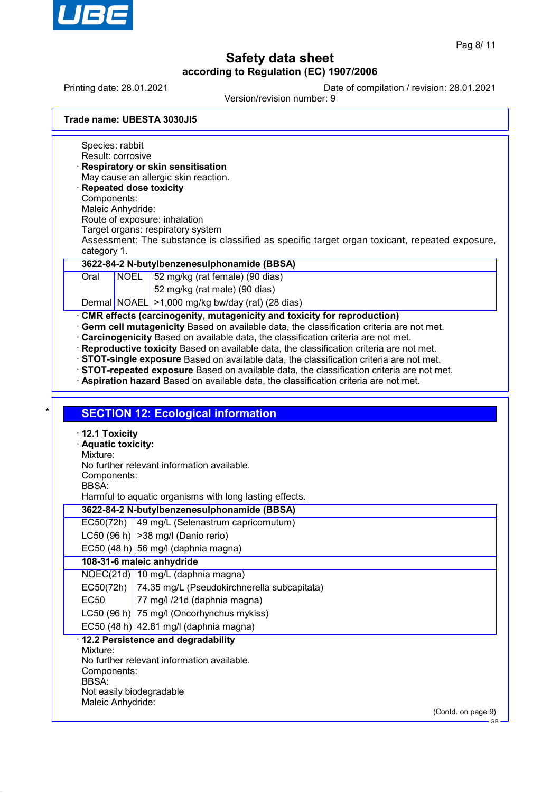

(Contd. on page 9)

GB

# **Safety data sheet according to Regulation (EC) 1907/2006**

Printing date: 28.01.2021 Date of compilation / revision: 28.01.2021

Version/revision number: 9

**Trade name: UBESTA 3030JI5**

Species: rabbit Result: corrosive · **Respiratory or skin sensitisation** May cause an allergic skin reaction. · **Repeated dose toxicity** Components: Maleic Anhydride: Route of exposure: inhalation Target organs: respiratory system Assessment: The substance is classified as specific target organ toxicant, repeated exposure, category 1. **3622-84-2 N-butylbenzenesulphonamide (BBSA)** Oral NOEL 52 mg/kg (rat female) (90 dias) 52 mg/kg (rat male) (90 dias) Dermal NOAEL >1,000 mg/kg bw/day (rat) (28 dias) **CMR effects (carcinogenity, mutagenicity and toxicity for reproduction)** · **Germ cell mutagenicity** Based on available data, the classification criteria are not met. · **Carcinogenicity** Based on available data, the classification criteria are not met. · **Reproductive toxicity** Based on available data, the classification criteria are not met. · **STOT-single exposure** Based on available data, the classification criteria are not met. · **STOT-repeated exposure** Based on available data, the classification criteria are not met. · **Aspiration hazard** Based on available data, the classification criteria are not met. **SECTION 12: Ecological information** · **12.1 Toxicity** · **Aquatic toxicity:** Mixture: No further relevant information available. Components: BBSA: Harmful to aquatic organisms with long lasting effects. **3622-84-2 N-butylbenzenesulphonamide (BBSA)** EC50(72h) 49 mg/L (Selenastrum capricornutum) LC50 (96 h)  $|>$ 38 mg/l (Danio rerio) EC50 (48 h) 56 mg/l (daphnia magna) **108-31-6 maleic anhydride** NOEC(21d) 10 mg/L (daphnia magna) EC50(72h) 74.35 mg/L (Pseudokirchnerella subcapitata) EC50 77 mg/l /21d (daphnia magna) LC50 (96 h) 75 mg/l (Oncorhynchus mykiss) EC50 (48 h)  $|42.81 \text{ mg/}$  (daphnia magna) · **12.2 Persistence and degradability** Mixture: No further relevant information available. Components: BBSA: Not easily biodegradable Maleic Anhydride: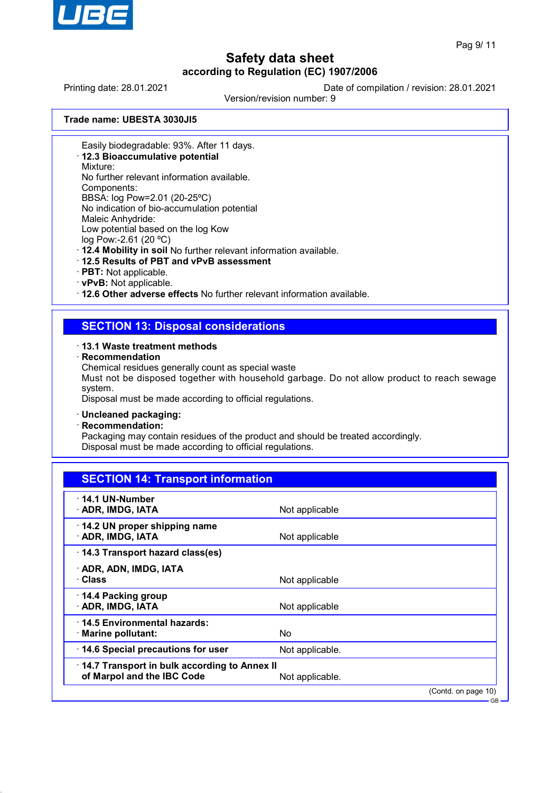

Printing date: 28.01.2021 Date of compilation / revision: 28.01.2021

Version/revision number: 9

**Trade name: UBESTA 3030JI5**

Easily biodegradable: 93%. After 11 days.

· **12.3 Bioaccumulative potential**

Mixture:

No further relevant information available.

Components:

BBSA: log Pow=2.01 (20-25ºC) No indication of bio-accumulation potential Maleic Anhydride:

Low potential based on the log Kow

log Pow:-2.61 (20 ºC)

· **12.4 Mobility in soil** No further relevant information available.

- · **12.5 Results of PBT and vPvB assessment**
- · **PBT:** Not applicable.
- · **vPvB:** Not applicable.

· **12.6 Other adverse effects** No further relevant information available.

## **SECTION 13: Disposal considerations**

### · **13.1 Waste treatment methods**

· **Recommendation**

Chemical residues generally count as special waste

Must not be disposed together with household garbage. Do not allow product to reach sewage system.

Disposal must be made according to official regulations.

### · **Uncleaned packaging:**

· **Recommendation:**

Packaging may contain residues of the product and should be treated accordingly. Disposal must be made according to official regulations.

| <b>SECTION 14: Transport information</b>                                   |                 |                        |
|----------------------------------------------------------------------------|-----------------|------------------------|
| $\cdot$ 14.1 UN-Number<br>· ADR, IMDG, IATA                                | Not applicable  |                        |
| 14.2 UN proper shipping name<br>· ADR, IMDG, IATA                          | Not applicable  |                        |
| 14.3 Transport hazard class(es)                                            |                 |                        |
| · ADR, ADN, IMDG, IATA<br>· Class                                          | Not applicable  |                        |
| ⋅ 14.4 Packing group<br>· ADR, IMDG, IATA                                  | Not applicable  |                        |
| 14.5 Environmental hazards:<br>$\cdot$ Marine pollutant:                   | No.             |                        |
| 14.6 Special precautions for user                                          | Not applicable. |                        |
| 14.7 Transport in bulk according to Annex II<br>of Marpol and the IBC Code | Not applicable. |                        |
|                                                                            |                 | $(Contd)$ on page $10$ |

(Contd. on page) GB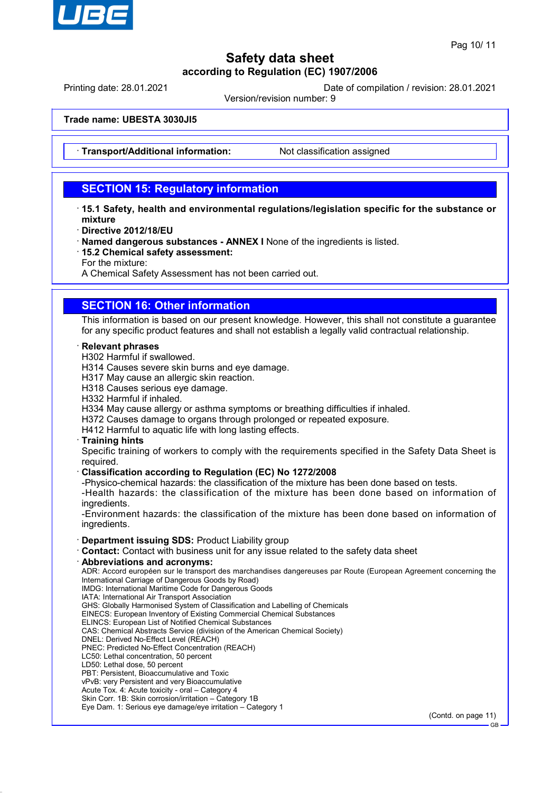

Printing date: 28.01.2021 Date of compilation / revision: 28.01.2021

Version/revision number: 9

**Trade name: UBESTA 3030JI5**

**Transport/Additional information:** Not classification assigned

## **SECTION 15: Regulatory information**

- · **15.1 Safety, health and environmental regulations/legislation specific for the substance or mixture**
- · **Directive 2012/18/EU**
- · **Named dangerous substances ANNEX I** None of the ingredients is listed.
- · **15.2 Chemical safety assessment:**
- For the mixture:

A Chemical Safety Assessment has not been carried out.

## **SECTION 16: Other information**

This information is based on our present knowledge. However, this shall not constitute a guarantee for any specific product features and shall not establish a legally valid contractual relationship.

### · **Relevant phrases**

- H302 Harmful if swallowed.
- H314 Causes severe skin burns and eye damage.
- H317 May cause an allergic skin reaction.
- H318 Causes serious eye damage.
- H332 Harmful if inhaled.
- H334 May cause allergy or asthma symptoms or breathing difficulties if inhaled.
- H372 Causes damage to organs through prolonged or repeated exposure.
- H412 Harmful to aquatic life with long lasting effects.

### · **Training hints**

Specific training of workers to comply with the requirements specified in the Safety Data Sheet is required.

### · **Classification according to Regulation (EC) No 1272/2008**

-Physico-chemical hazards: the classification of the mixture has been done based on tests.

-Health hazards: the classification of the mixture has been done based on information of ingredients.

-Environment hazards: the classification of the mixture has been done based on information of ingredients.

### · **Department issuing SDS:** Product Liability group

- · **Contact:** Contact with business unit for any issue related to the safety data sheet
- · **Abbreviations and acronyms:**

ADR: Accord européen sur le transport des marchandises dangereuses par Route (European Agreement concerning the International Carriage of Dangerous Goods by Road) IMDG: International Maritime Code for Dangerous Goods

- IATA: International Air Transport Association
- GHS: Globally Harmonised System of Classification and Labelling of Chemicals
- EINECS: European Inventory of Existing Commercial Chemical Substances
- ELINCS: European List of Notified Chemical Substances
- CAS: Chemical Abstracts Service (division of the American Chemical Society)
- DNEL: Derived No-Effect Level (REACH)
- PNEC: Predicted No-Effect Concentration (REACH)
- LC50: Lethal concentration, 50 percent
- LD50: Lethal dose, 50 percent
- PBT: Persistent, Bioaccumulative and Toxic
- vPvB: very Persistent and very Bioaccumulative Acute Tox. 4: Acute toxicity - oral – Category 4
- Skin Corr. 1B: Skin corrosion/irritation Category 1B
- Eye Dam. 1: Serious eye damage/eye irritation Category 1

(Contd. on page 11)